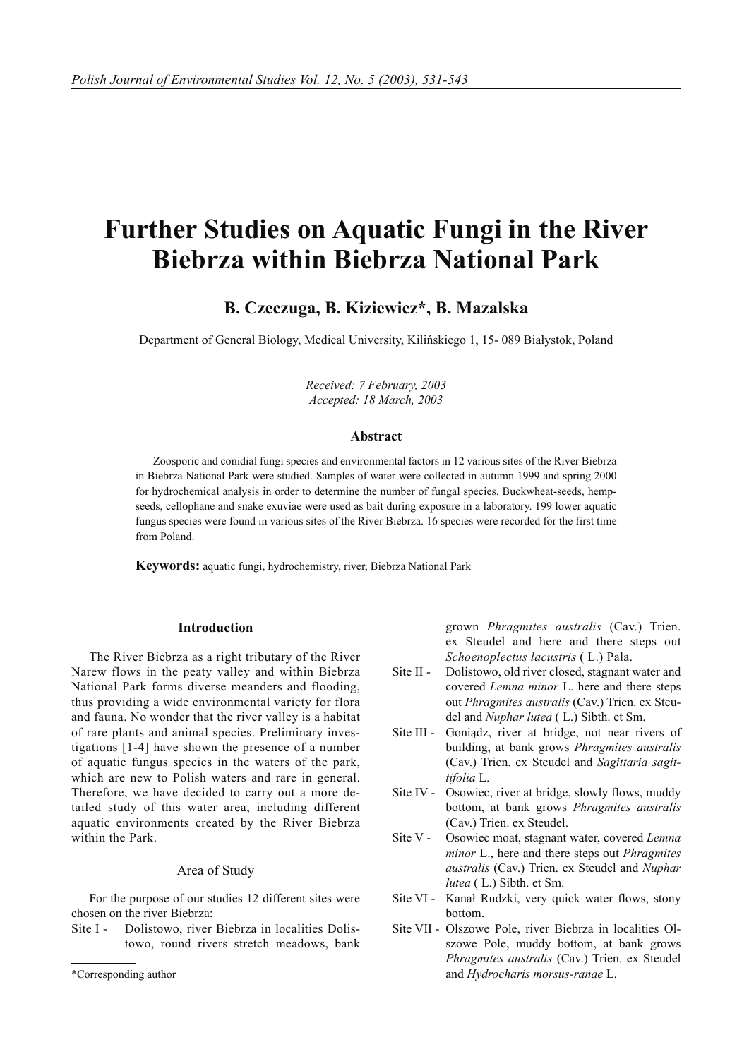# **Further Studies on Aquatic Fungi in the River Biebrza within Biebrza National Park**

## **B. Czeczuga, B. Kiziewicz\*, B. Mazalska**

Department of General Biology, Medical University, Kilińskiego 1, 15- 089 Białystok, Poland

*Received: 7 February, 2003 Accepted: 18 March, 2003*

## **Abstract**

Zoosporic and conidial fungi species and environmental factors in 12 various sites of the River Biebrza in Biebrza National Park were studied. Samples of water were collected in autumn 1999 and spring 2000 for hydrochemical analysis in order to determine the number of fungal species. Buckwheat-seeds, hempseeds, cellophane and snake exuviae were used as bait during exposure in a laboratory. 199 lower aquatic fungus species were found in various sites of the River Biebrza. 16 species were recorded for the first time from Poland.

**Keywords:** aquatic fungi, hydrochemistry, river, Biebrza National Park

## **Introduction**

The River Biebrza as a right tributary of the River Narew flows in the peaty valley and within Biebrza National Park forms diverse meanders and flooding, thus providing a wide environmental variety for flora and fauna. No wonder that the river valley is a habitat of rare plants and animal species. Preliminary investigations [1-4] have shown the presence of a number of aquatic fungus species in the waters of the park, which are new to Polish waters and rare in general. Therefore, we have decided to carry out a more detailed study of this water area, including different aquatic environments created by the River Biebrza within the Park.

#### Area of Study

For the purpose of our studies 12 different sites were chosen on the river Biebrza:

Site I - Dolistowo, river Biebrza in localities Dolistowo, round rivers stretch meadows, bank

grown *Phragmites australis* (Cav.) Trien. ex Steudel and here and there steps out *Schoenoplectus lacustris* ( L.) Pala.

- Site II Dolistowo, old river closed, stagnant water and covered *Lemna minor* L. here and there steps out *Phragmites australis* (Cav.) Trien. ex Steudel and *Nuphar lutea* ( L.) Sibth. et Sm.
- Site III Goniądz, river at bridge, not near rivers of building, at bank grows *Phragmites australis* (Cav.) Trien. ex Steudel and *Sagittaria sagittifolia* L.
- Site IV Osowiec, river at bridge, slowly flows, muddy bottom, at bank grows *Phragmites australis* (Cav.) Trien. ex Steudel.
- Site V Osowiec moat, stagnant water, covered *Lemna minor* L., here and there steps out *Phragmites australis* (Cav.) Trien. ex Steudel and *Nuphar lutea* ( L.) Sibth. et Sm.
- Site VI Kanał Rudzki, very quick water flows, stony bottom.
- Site VII Olszowe Pole, river Biebrza in localities Olszowe Pole, muddy bottom, at bank grows *Phragmites australis* (Cav.) Trien. ex Steudel and *Hydrocharis morsus-ranae* L.

<sup>\*</sup>Corresponding author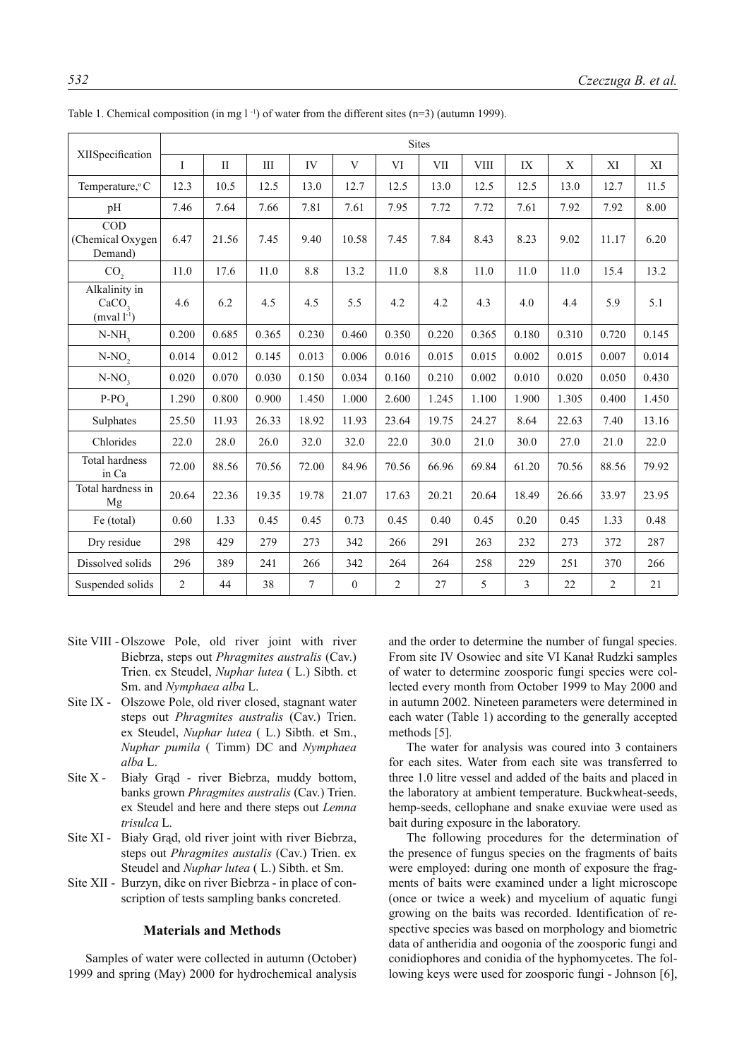|                                                        | <b>Sites</b>   |          |                    |       |                  |                |       |             |                         |             |                |        |  |
|--------------------------------------------------------|----------------|----------|--------------------|-------|------------------|----------------|-------|-------------|-------------------------|-------------|----------------|--------|--|
| XIISpecification                                       | $\mathbf I$    | $\rm II$ | $\mathop{\rm III}$ | IV    | V                | VI             | VII   | <b>VIII</b> | IX                      | $\mathbf X$ | XI             | XI     |  |
| Temperature, °C                                        | 12.3           | 10.5     | 12.5               | 13.0  | 12.7             | 12.5           | 13.0  | 12.5        | 12.5                    | 13.0        | 12.7           | 11.5   |  |
| pH                                                     | 7.46           | 7.64     | 7.66               | 7.81  | 7.61             | 7.95           | 7.72  | 7.72        | 7.61                    | 7.92        | 7.92           | 8.00   |  |
| COD<br>(Chemical Oxygen)<br>Demand)                    | 6.47           | 21.56    | 7.45               | 9.40  | 10.58            | 7.45           | 7.84  | 8.43        | 8.23                    | 9.02        | 11.17          | 6.20   |  |
| CO <sub>2</sub>                                        | 11.0           | 17.6     | 11.0               | 8.8   | 13.2             | 11.0           | 8.8   | 11.0        | 11.0                    | 11.0        | 15.4           | 13.2   |  |
| Alkalinity in<br>CaCO <sub>2</sub><br>(mval $l^{-1}$ ) | 4.6            | 6.2      | 4.5                | 4.5   | 5.5              | 4.2            | 4.2   | 4.3         | 4.0                     | 4.4         | 5.9            | 5.1    |  |
| $N-NH3$                                                | 0.200          | 0.685    | 0.365              | 0.230 | 0.460            | 0.350          | 0.220 | 0.365       | 0.180                   | 0.310       | 0.720          | 0.145  |  |
| $N-NO$ ,                                               | 0.014          | 0.012    | 0.145              | 0.013 | 0.006            | 0.016          | 0.015 | 0.015       | 0.002                   | 0.015       | 0.007          | 0.014  |  |
| $N-NO2$                                                | 0.020          | 0.070    | 0.030              | 0.150 | 0.034            | 0.160          | 0.210 | 0.002       | 0.010                   | 0.020       | 0.050          | 0.430  |  |
| $P-PO4$                                                | 1.290          | 0.800    | 0.900              | 1.450 | 1.000            | 2.600          | 1.245 | 1.100       | 1.900                   | 1.305       | 0.400          | 1.450  |  |
| Sulphates                                              | 25.50          | 11.93    | 26.33              | 18.92 | 11.93            | 23.64          | 19.75 | 24.27       | 8.64                    | 22.63       | 7.40           | 13.16  |  |
| Chlorides                                              | 22.0           | 28.0     | 26.0               | 32.0  | 32.0             | 22.0           | 30.0  | 21.0        | 30.0                    | 27.0        | 21.0           | 22.0   |  |
| Total hardness<br>in Ca                                | 72.00          | 88.56    | 70.56              | 72.00 | 84.96            | 70.56          | 66.96 | 69.84       | 61.20                   | 70.56       | 88.56          | 79.92  |  |
| Total hardness in<br>Mg                                | 20.64          | 22.36    | 19.35              | 19.78 | 21.07            | 17.63          | 20.21 | 20.64       | 18.49                   | 26.66       | 33.97          | 23.95  |  |
| Fe (total)                                             | 0.60           | 1.33     | 0.45               | 0.45  | 0.73             | 0.45           | 0.40  | 0.45        | 0.20                    | 0.45        | 1.33           | 0.48   |  |
| Dry residue                                            | 298            | 429      | 279                | 273   | 342              | 266            | 291   | 263         | 232                     | 273         | 372            | 287    |  |
| Dissolved solids                                       | 296            | 389      | 241                | 266   | 342              | 264            | 264   | 258         | 229                     | 251         | 370            | 266    |  |
| Suspended solids                                       | $\overline{c}$ | 44       | 38                 | 7     | $\boldsymbol{0}$ | $\overline{2}$ | 27    | 5           | $\overline{\mathbf{3}}$ | 22          | $\overline{2}$ | $21\,$ |  |

Table 1. Chemical composition (in mg  $1^{-1}$ ) of water from the different sites (n=3) (autumn 1999).

- Site VIII Olszowe Pole, old river joint with river Biebrza, steps out *Phragmites australis* (Cav.) Trien. ex Steudel, *Nuphar lutea* ( L.) Sibth. et Sm. and *Nymphaea alba* L.
- Site IX Olszowe Pole, old river closed, stagnant water steps out *Phragmites australis* (Cav.) Trien. ex Steudel, *Nuphar lutea* ( L.) Sibth. et Sm., *Nuphar pumila* ( Timm) DC and *Nymphaea alba* L.
- Site X Biały Grąd river Biebrza, muddy bottom, banks grown *Phragmites australis* (Cav.) Trien. ex Steudel and here and there steps out *Lemna trisulca* L.
- Site XI Biały Grąd, old river joint with river Biebrza, steps out *Phragmites austalis* (Cav.) Trien. ex Steudel and *Nuphar lutea* ( L.) Sibth. et Sm.
- Site XII Burzyn, dike on river Biebrza in place of conscription of tests sampling banks concreted.

### **Materials and Methods**

Samples of water were collected in autumn (October) 1999 and spring (May) 2000 for hydrochemical analysis and the order to determine the number of fungal species. From site IV Osowiec and site VI Kanał Rudzki samples of water to determine zoosporic fungi species were collected every month from October 1999 to May 2000 and in autumn 2002. Nineteen parameters were determined in each water (Table 1) according to the generally accepted methods [5].

The water for analysis was coured into 3 containers for each sites. Water from each site was transferred to three 1.0 litre vessel and added of the baits and placed in the laboratory at ambient temperature. Buckwheat-seeds, hemp-seeds, cellophane and snake exuviae were used as bait during exposure in the laboratory.

The following procedures for the determination of the presence of fungus species on the fragments of baits were employed: during one month of exposure the fragments of baits were examined under a light microscope (once or twice a week) and mycelium of aquatic fungi growing on the baits was recorded. Identification of respective species was based on morphology and biometric data of antheridia and oogonia of the zoosporic fungi and conidiophores and conidia of the hyphomycetes. The following keys were used for zoosporic fungi - Johnson [6],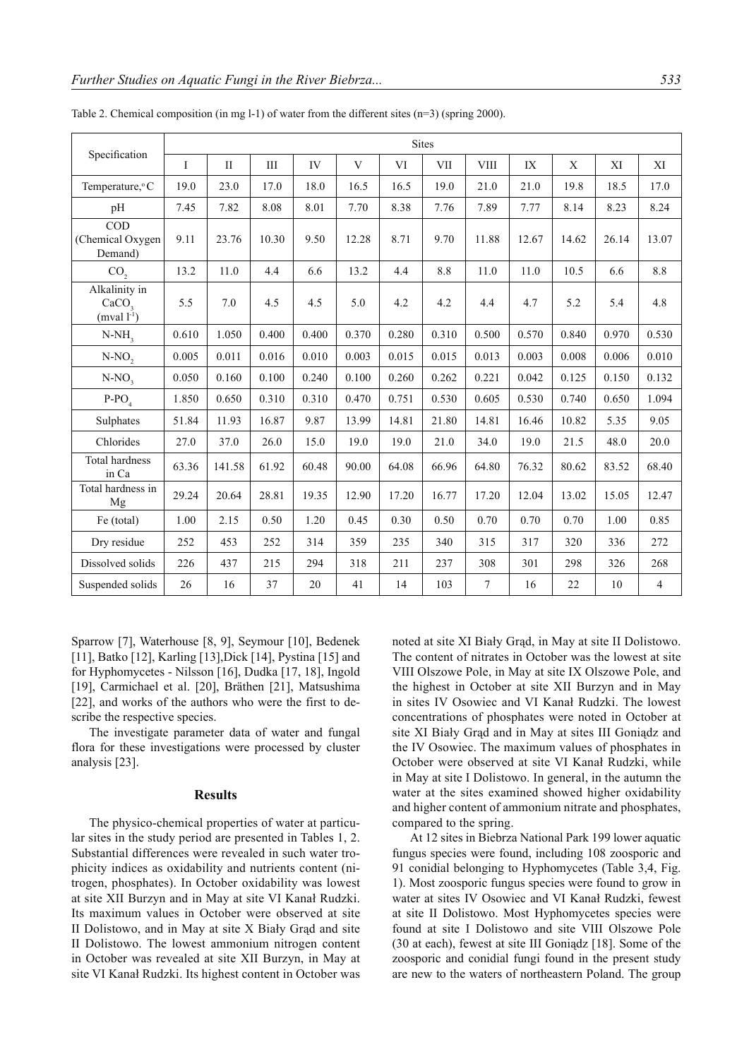|                                                    | <b>Sites</b> |           |       |       |       |       |       |             |       |       |       |                |
|----------------------------------------------------|--------------|-----------|-------|-------|-------|-------|-------|-------------|-------|-------|-------|----------------|
| Specification                                      | I            | $\rm{II}$ | III   | IV    | V     | VI    | VII   | <b>VIII</b> | IX    | X     | XI    | XI             |
| Temperature, °C                                    | 19.0         | 23.0      | 17.0  | 18.0  | 16.5  | 16.5  | 19.0  | 21.0        | 21.0  | 19.8  | 18.5  | 17.0           |
| pH                                                 | 7.45         | 7.82      | 8.08  | 8.01  | 7.70  | 8.38  | 7.76  | 7.89        | 7.77  | 8.14  | 8.23  | 8.24           |
| <b>COD</b><br>(Chemical Oxygen<br>Demand)          | 9.11         | 23.76     | 10.30 | 9.50  | 12.28 | 8.71  | 9.70  | 11.88       | 12.67 | 14.62 | 26.14 | 13.07          |
| CO <sub>2</sub>                                    | 13.2         | 11.0      | 4.4   | 6.6   | 13.2  | 4.4   | 8.8   | 11.0        | 11.0  | 10.5  | 6.6   | 8.8            |
| Alkalinity in<br>CaCO <sub>3</sub><br>$(mval l-1)$ | 5.5          | 7.0       | 4.5   | 4.5   | 5.0   | 4.2   | 4.2   | 4.4         | 4.7   | 5.2   | 5.4   | 4.8            |
| $N-NH3$                                            | 0.610        | 1.050     | 0.400 | 0.400 | 0.370 | 0.280 | 0.310 | 0.500       | 0.570 | 0.840 | 0.970 | 0.530          |
| $N-NO$ ,                                           | 0.005        | 0.011     | 0.016 | 0.010 | 0.003 | 0.015 | 0.015 | 0.013       | 0.003 | 0.008 | 0.006 | 0.010          |
| $N-NO3$                                            | 0.050        | 0.160     | 0.100 | 0.240 | 0.100 | 0.260 | 0.262 | 0.221       | 0.042 | 0.125 | 0.150 | 0.132          |
| $P-PO4$                                            | 1.850        | 0.650     | 0.310 | 0.310 | 0.470 | 0.751 | 0.530 | 0.605       | 0.530 | 0.740 | 0.650 | 1.094          |
| Sulphates                                          | 51.84        | 11.93     | 16.87 | 9.87  | 13.99 | 14.81 | 21.80 | 14.81       | 16.46 | 10.82 | 5.35  | 9.05           |
| Chlorides                                          | 27.0         | 37.0      | 26.0  | 15.0  | 19.0  | 19.0  | 21.0  | 34.0        | 19.0  | 21.5  | 48.0  | 20.0           |
| <b>Total hardness</b><br>in Ca                     | 63.36        | 141.58    | 61.92 | 60.48 | 90.00 | 64.08 | 66.96 | 64.80       | 76.32 | 80.62 | 83.52 | 68.40          |
| Total hardness in<br>Mg                            | 29.24        | 20.64     | 28.81 | 19.35 | 12.90 | 17.20 | 16.77 | 17.20       | 12.04 | 13.02 | 15.05 | 12.47          |
| Fe (total)                                         | 1.00         | 2.15      | 0.50  | 1.20  | 0.45  | 0.30  | 0.50  | 0.70        | 0.70  | 0.70  | 1.00  | 0.85           |
| Dry residue                                        | 252          | 453       | 252   | 314   | 359   | 235   | 340   | 315         | 317   | 320   | 336   | 272            |
| Dissolved solids                                   | 226          | 437       | 215   | 294   | 318   | 211   | 237   | 308         | 301   | 298   | 326   | 268            |
| Suspended solids                                   | 26           | 16        | 37    | 20    | 41    | 14    | 103   | 7           | 16    | 22    | 10    | $\overline{4}$ |

Table 2. Chemical composition (in mg l-1) of water from the different sites (n=3) (spring 2000).

Sparrow [7], Waterhouse [8, 9], Seymour [10], Bedenek [11], Batko [12], Karling [13], Dick [14], Pystina [15] and for Hyphomycetes - Nilsson [16], Dudka [17, 18], Ingold [19], Carmichael et al. [20], Bräthen [21], Matsushima [22], and works of the authors who were the first to describe the respective species.

The investigate parameter data of water and fungal flora for these investigations were processed by cluster analysis [23].

## **Results**

The physico-chemical properties of water at particular sites in the study period are presented in Tables 1, 2. Substantial differences were revealed in such water trophicity indices as oxidability and nutrients content (nitrogen, phosphates). In October oxidability was lowest at site XII Burzyn and in May at site VI Kanał Rudzki. Its maximum values in October were observed at site II Dolistowo, and in May at site X Biały Grąd and site II Dolistowo. The lowest ammonium nitrogen content in October was revealed at site XII Burzyn, in May at site VI Kanał Rudzki. Its highest content in October was noted at site XI Biały Grąd, in May at site II Dolistowo. The content of nitrates in October was the lowest at site VIII Olszowe Pole, in May at site IX Olszowe Pole, and the highest in October at site XII Burzyn and in May in sites IV Osowiec and VI Kanał Rudzki. The lowest concentrations of phosphates were noted in October at site XI Biały Grąd and in May at sites III Goniądz and the IV Osowiec. The maximum values of phosphates in October were observed at site VI Kanał Rudzki, while in May at site I Dolistowo. In general, in the autumn the water at the sites examined showed higher oxidability and higher content of ammonium nitrate and phosphates, compared to the spring.

At 12 sites in Biebrza National Park 199 lower aquatic fungus species were found, including 108 zoosporic and 91 conidial belonging to Hyphomycetes (Table 3,4, Fig. 1). Most zoosporic fungus species were found to grow in water at sites IV Osowiec and VI Kanał Rudzki, fewest at site II Dolistowo. Most Hyphomycetes species were found at site I Dolistowo and site VIII Olszowe Pole (30 at each), fewest at site III Goniądz [18]. Some of the zoosporic and conidial fungi found in the present study are new to the waters of northeastern Poland. The group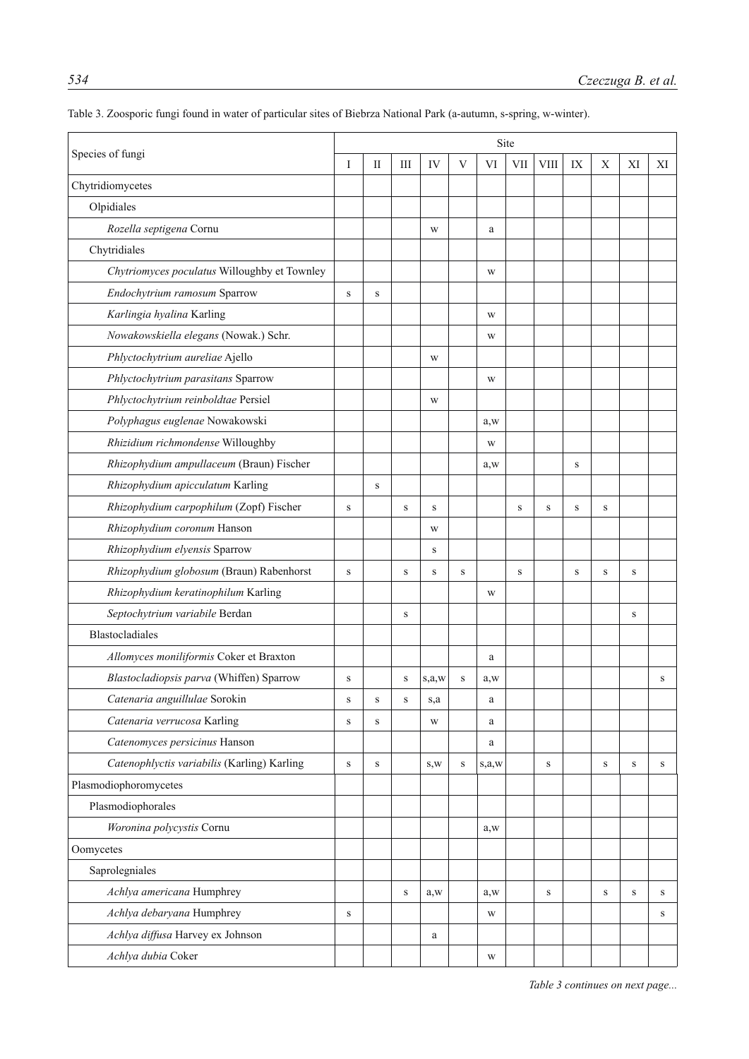|                                              | Site        |           |                                  |           |             |       |        |              |             |              |         |    |  |
|----------------------------------------------|-------------|-----------|----------------------------------|-----------|-------------|-------|--------|--------------|-------------|--------------|---------|----|--|
| Species of fungi                             | I           | П         | $\mathop{\mathrm{III}}\nolimits$ | IV        | V           | VI    | VII    | <b>VIII</b>  | IX          | $\mathbf X$  | XI      | XI |  |
| Chytridiomycetes                             |             |           |                                  |           |             |       |        |              |             |              |         |    |  |
| Olpidiales                                   |             |           |                                  |           |             |       |        |              |             |              |         |    |  |
| Rozella septigena Cornu                      |             |           |                                  | W         |             | a     |        |              |             |              |         |    |  |
| Chytridiales                                 |             |           |                                  |           |             |       |        |              |             |              |         |    |  |
| Chytriomyces poculatus Willoughby et Townley |             |           |                                  |           |             | W     |        |              |             |              |         |    |  |
| Endochytrium ramosum Sparrow                 | $\mathbf S$ | S         |                                  |           |             |       |        |              |             |              |         |    |  |
| Karlingia hyalina Karling                    |             |           |                                  |           |             | W     |        |              |             |              |         |    |  |
| Nowakowskiella elegans (Nowak.) Schr.        |             |           |                                  |           |             | W     |        |              |             |              |         |    |  |
| Phlyctochytrium aureliae Ajello              |             |           |                                  | W         |             |       |        |              |             |              |         |    |  |
| Phlyctochytrium parasitans Sparrow           |             |           |                                  |           |             | W     |        |              |             |              |         |    |  |
| Phlyctochytrium reinboldtae Persiel          |             |           |                                  | W         |             |       |        |              |             |              |         |    |  |
| Polyphagus euglenae Nowakowski               |             |           |                                  |           |             | a, w  |        |              |             |              |         |    |  |
| Rhizidium richmondense Willoughby            |             |           |                                  |           |             | W     |        |              |             |              |         |    |  |
| Rhizophydium ampullaceum (Braun) Fischer     |             |           |                                  |           |             | a, w  |        |              | $\mathbf S$ |              |         |    |  |
| Rhizophydium apicculatum Karling             |             | S         |                                  |           |             |       |        |              |             |              |         |    |  |
| Rhizophydium carpophilum (Zopf) Fischer      | $\mathbf S$ |           | $\,$ S                           | ${\bf S}$ |             |       | $\,$ S | S            | $\,$ S      | S            |         |    |  |
| Rhizophydium coronum Hanson                  |             |           |                                  | W         |             |       |        |              |             |              |         |    |  |
| Rhizophydium elyensis Sparrow                |             |           |                                  | S         |             |       |        |              |             |              |         |    |  |
| Rhizophydium globosum (Braun) Rabenhorst     | $\,$ S      |           | S                                | S         | $\,$ S      |       | $\,$ S |              | $\,$ S      | S            | S       |    |  |
| Rhizophydium keratinophilum Karling          |             |           |                                  |           |             | W     |        |              |             |              |         |    |  |
| Septochytrium variabile Berdan               |             |           | S                                |           |             |       |        |              |             |              | S       |    |  |
| <b>Blastocladiales</b>                       |             |           |                                  |           |             |       |        |              |             |              |         |    |  |
| Allomyces moniliformis Coker et Braxton      |             |           |                                  |           |             | a     |        |              |             |              |         |    |  |
| Blastocladiopsis parva (Whiffen) Sparrow     | S           |           | S                                | s,a,w     | S           | a, w  |        |              |             |              |         | s  |  |
| Catenaria anguillulae Sorokin                | $\,$ S      | S         | $\mathbf S$                      | s,a       |             | a     |        |              |             |              |         |    |  |
| Catenaria verrucosa Karling                  | $\,$ S      | S         |                                  | W         |             | a     |        |              |             |              |         |    |  |
| Catenomyces persicinus Hanson                |             |           |                                  |           |             | a     |        |              |             |              |         |    |  |
| Catenophlyctis variabilis (Karling) Karling  | $\,$ S      | ${\bf S}$ |                                  | S,W       | $\mathbf S$ | s,a,w |        | S            |             | S            | S       | S  |  |
| Plasmodiophoromycetes                        |             |           |                                  |           |             |       |        |              |             |              |         |    |  |
| Plasmodiophorales                            |             |           |                                  |           |             |       |        |              |             |              |         |    |  |
| Woronina polycystis Cornu                    |             |           |                                  |           |             | a, w  |        |              |             |              |         |    |  |
| Oomycetes                                    |             |           |                                  |           |             |       |        |              |             |              |         |    |  |
| Saprolegniales                               |             |           |                                  |           |             |       |        |              |             |              |         |    |  |
| Achlya americana Humphrey                    |             |           | $\mathbf S$                      | a, w      |             | a, w  |        | $\, {\bf S}$ |             | $\, {\bf S}$ | $\bf S$ | S  |  |
| Achlya debaryana Humphrey                    | S           |           |                                  |           |             | W     |        |              |             |              |         | s  |  |
| Achlya diffusa Harvey ex Johnson             |             |           |                                  | $\rm{a}$  |             |       |        |              |             |              |         |    |  |
| Achlya dubia Coker                           |             |           |                                  |           |             | W     |        |              |             |              |         |    |  |

Table 3. Zoosporic fungi found in water of particular sites of Biebrza National Park (a-autumn, s-spring, w-winter).

*Table 3 continues on next page...*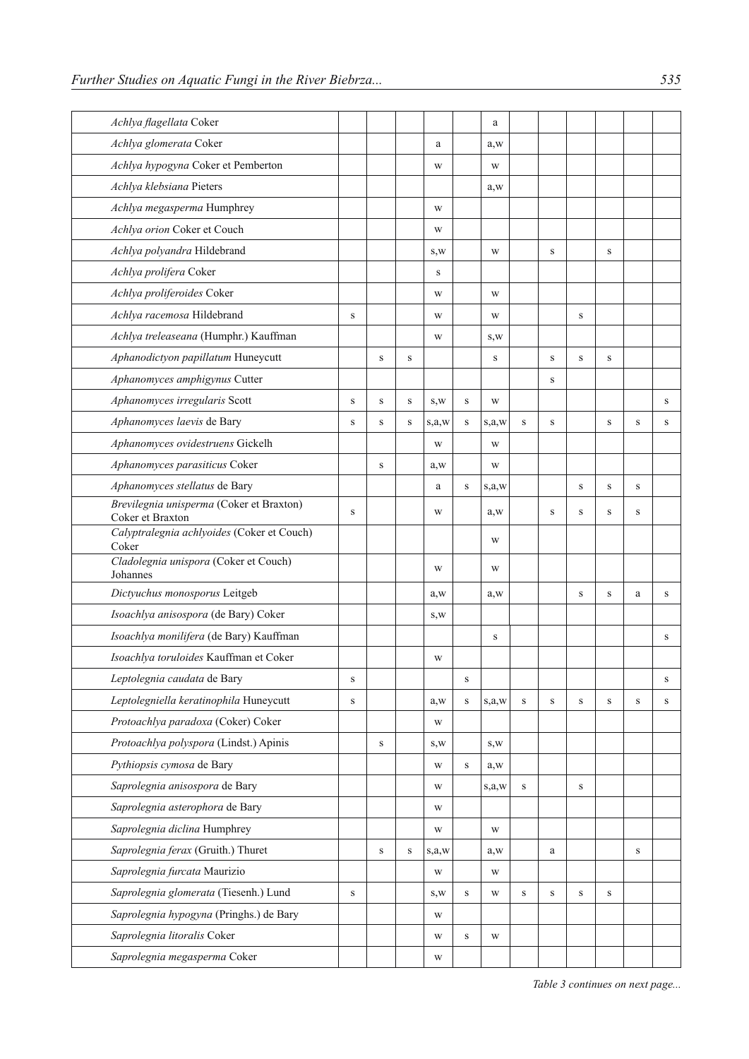| Achlya flagellata Coker                                      |             |           |             |         |              | a       |           |             |              |              |              |   |
|--------------------------------------------------------------|-------------|-----------|-------------|---------|--------------|---------|-----------|-------------|--------------|--------------|--------------|---|
| Achlya glomerata Coker                                       |             |           |             | a       |              | a, w    |           |             |              |              |              |   |
| Achlya hypogyna Coker et Pemberton                           |             |           |             | W       |              | W       |           |             |              |              |              |   |
| Achlya klebsiana Pieters                                     |             |           |             |         |              | a, w    |           |             |              |              |              |   |
| Achlya megasperma Humphrey                                   |             |           |             | W       |              |         |           |             |              |              |              |   |
| Achlya orion Coker et Couch                                  |             |           |             | W       |              |         |           |             |              |              |              |   |
| Achlya polyandra Hildebrand                                  |             |           |             | S,W     |              | W       |           | $\,$ S      |              | $\,$ S       |              |   |
| Achlya prolifera Coker                                       |             |           |             | S       |              |         |           |             |              |              |              |   |
| Achlya proliferoides Coker                                   |             |           |             | W       |              | W       |           |             |              |              |              |   |
| Achlya racemosa Hildebrand                                   | $\mathbf S$ |           |             | W       |              | W       |           |             | ${\bf S}$    |              |              |   |
| Achlya treleaseana (Humphr.) Kauffman                        |             |           |             | W       |              | S,W     |           |             |              |              |              |   |
| Aphanodictyon papillatum Huneycutt                           |             | S         | S           |         |              | S       |           | $\,$ S      | $\mathbf S$  | $\mathbf S$  |              |   |
| Aphanomyces amphigynus Cutter                                |             |           |             |         |              |         |           | S           |              |              |              |   |
| Aphanomyces irregularis Scott                                | S           | S         | S           | S,W     | S            | W       |           |             |              |              |              | S |
| Aphanomyces laevis de Bary                                   | $\mathbf S$ | S         | S           | s, a, w | S            | s, a, w | ${\bf S}$ | $\,$ S      |              | $\,$ S       | S            | S |
| Aphanomyces ovidestruens Gickelh                             |             |           |             | W       |              | W       |           |             |              |              |              |   |
| Aphanomyces parasiticus Coker                                |             | S         |             | a, w    |              | W       |           |             |              |              |              |   |
| Aphanomyces stellatus de Bary                                |             |           |             | a       | S            | s,a,w   |           |             | S            | ${\bf S}$    | S            |   |
| Brevilegnia unisperma (Coker et Braxton)<br>Coker et Braxton | ${\bf S}$   |           |             | W       |              | a, w    |           | S           | ${\bf S}$    | S            | S            |   |
| Calyptralegnia achlyoides (Coker et Couch)<br>Coker          |             |           |             |         |              | W       |           |             |              |              |              |   |
| Cladolegnia unispora (Coker et Couch)<br>Johannes            |             |           |             | W       |              | W       |           |             |              |              |              |   |
| Dictyuchus monosporus Leitgeb                                |             |           |             | a, w    |              | a, w    |           |             | S            | $\mathbf S$  | a            | S |
| Isoachlya anisospora (de Bary) Coker                         |             |           |             | S,W     |              |         |           |             |              |              |              |   |
| Isoachlya monilifera (de Bary) Kauffman                      |             |           |             |         |              | $\,$ S  |           |             |              |              |              | S |
| Isoachlya toruloides Kauffman et Coker                       |             |           |             | W       |              |         |           |             |              |              |              |   |
| Leptolegnia caudata de Bary                                  | $\bf S$     |           |             |         | S            |         |           |             |              |              |              | S |
| Leptolegniella keratinophila Huneycutt                       | $\mathbf S$ |           |             | a, w    | $\mathbf S$  | s,a,w   | $\,$ S    | $\mathbf S$ | $\,$ S       | $\,$ S       | ${\bf S}$    | S |
| Protoachlya paradoxa (Coker) Coker                           |             |           |             | W       |              |         |           |             |              |              |              |   |
| Protoachlya polyspora (Lindst.) Apinis                       |             | ${\bf S}$ |             | S, W    |              | S,W     |           |             |              |              |              |   |
| Pythiopsis cymosa de Bary                                    |             |           |             | W       | $\, {\bf S}$ | a, w    |           |             |              |              |              |   |
| Saprolegnia anisospora de Bary                               |             |           |             | W       |              | s, a, w | ${\bf S}$ |             | $\, {\bf S}$ |              |              |   |
| Saprolegnia asterophora de Bary                              |             |           |             | W       |              |         |           |             |              |              |              |   |
| Saprolegnia diclina Humphrey                                 |             |           |             | W       |              | W       |           |             |              |              |              |   |
| Saprolegnia ferax (Gruith.) Thuret                           |             | ${\bf S}$ | $\mathbf S$ | s,a,w   |              | a, w    |           | a           |              |              | $\, {\bf S}$ |   |
| Saprolegnia furcata Maurizio                                 |             |           |             | W       |              | W       |           |             |              |              |              |   |
| Saprolegnia glomerata (Tiesenh.) Lund                        | $\mathbf S$ |           |             | S,W     | $\, {\bf S}$ | W       | S         | ${\bf S}$   | ${\bf S}$    | $\, {\bf S}$ |              |   |
| Saprolegnia hypogyna (Pringhs.) de Bary                      |             |           |             | W       |              |         |           |             |              |              |              |   |
| Saprolegnia litoralis Coker                                  |             |           |             | W       | $\, {\bf S}$ | W       |           |             |              |              |              |   |
| Saprolegnia megasperma Coker                                 |             |           |             | W       |              |         |           |             |              |              |              |   |

*Table 3 continues on next page...*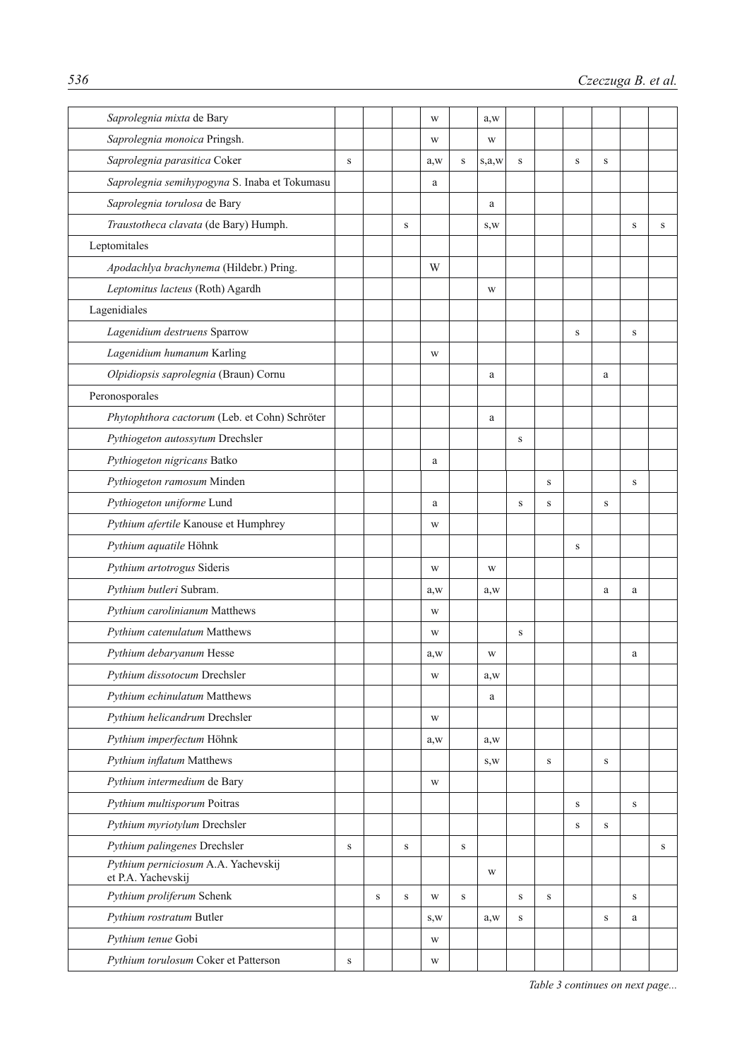| Saprolegnia mixta de Bary                                 |           |              |              | W    |           | a, w    |             |           |   |             |           |   |
|-----------------------------------------------------------|-----------|--------------|--------------|------|-----------|---------|-------------|-----------|---|-------------|-----------|---|
| Saprolegnia monoica Pringsh.                              |           |              |              | W    |           | W       |             |           |   |             |           |   |
| Saprolegnia parasitica Coker                              | S         |              |              | a, w | S         | s, a, w | S           |           | S | S           |           |   |
| Saprolegnia semihypogyna S. Inaba et Tokumasu             |           |              |              | a    |           |         |             |           |   |             |           |   |
| Saprolegnia torulosa de Bary                              |           |              |              |      |           | a       |             |           |   |             |           |   |
| Traustotheca clavata (de Bary) Humph.                     |           |              | S            |      |           | S,W     |             |           |   |             | S         | S |
| Leptomitales                                              |           |              |              |      |           |         |             |           |   |             |           |   |
| Apodachlya brachynema (Hildebr.) Pring.                   |           |              |              | W    |           |         |             |           |   |             |           |   |
| Leptomitus lacteus (Roth) Agardh                          |           |              |              |      |           | W       |             |           |   |             |           |   |
| Lagenidiales                                              |           |              |              |      |           |         |             |           |   |             |           |   |
| Lagenidium destruens Sparrow                              |           |              |              |      |           |         |             |           | S |             | $\,$ S    |   |
| Lagenidium humanum Karling                                |           |              |              | W    |           |         |             |           |   |             |           |   |
| Olpidiopsis saprolegnia (Braun) Cornu                     |           |              |              |      |           | a       |             |           |   | a           |           |   |
| Peronosporales                                            |           |              |              |      |           |         |             |           |   |             |           |   |
| Phytophthora cactorum (Leb. et Cohn) Schröter             |           |              |              |      |           | a       |             |           |   |             |           |   |
| Pythiogeton autossytum Drechsler                          |           |              |              |      |           |         | $\mathbf S$ |           |   |             |           |   |
| Pythiogeton nigricans Batko                               |           |              |              | a    |           |         |             |           |   |             |           |   |
| Pythiogeton ramosum Minden                                |           |              |              |      |           |         |             | $\,$ S    |   |             | S         |   |
| Pythiogeton uniforme Lund                                 |           |              |              | a    |           |         | S           | S         |   | $\,$ S      |           |   |
| Pythium afertile Kanouse et Humphrey                      |           |              |              | W    |           |         |             |           |   |             |           |   |
| Pythium aquatile Höhnk                                    |           |              |              |      |           |         |             |           | S |             |           |   |
| Pythium artotrogus Sideris                                |           |              |              | W    |           | W       |             |           |   |             |           |   |
| Pythium butleri Subram.                                   |           |              |              | a, w |           | a, w    |             |           |   | a           | a         |   |
| Pythium carolinianum Matthews                             |           |              |              | W    |           |         |             |           |   |             |           |   |
| Pythium catenulatum Matthews                              |           |              |              | W    |           |         | S           |           |   |             |           |   |
| Pythium debaryanum Hesse                                  |           |              |              | a, w |           | W       |             |           |   |             | a         |   |
| Pythium dissotocum Drechsler                              |           |              |              | W    |           | a, w    |             |           |   |             |           |   |
| Pythium echinulatum Matthews                              |           |              |              |      |           | a       |             |           |   |             |           |   |
| Pythium helicandrum Drechsler                             |           |              |              | W    |           |         |             |           |   |             |           |   |
| Pythium imperfectum Höhnk                                 |           |              |              | a, w |           | a, w    |             |           |   |             |           |   |
| Pythium inflatum Matthews                                 |           |              |              |      |           | S, W    |             | S         |   | S           |           |   |
| Pythium intermedium de Bary                               |           |              |              | W    |           |         |             |           |   |             |           |   |
| Pythium multisporum Poitras                               |           |              |              |      |           |         |             |           | S |             | S         |   |
| Pythium myriotylum Drechsler                              |           |              |              |      |           |         |             |           | S | S           |           |   |
| Pythium palingenes Drechsler                              | ${\bf S}$ |              | ${\bf S}$    |      | ${\bf S}$ |         |             |           |   |             |           | S |
| Pythium perniciosum A.A. Yachevskij<br>et P.A. Yachevskij |           |              |              |      |           | W       |             |           |   |             |           |   |
| Pythium proliferum Schenk                                 |           | $\, {\bf S}$ | $\, {\bf S}$ | W    | S         |         | ${\bf S}$   | ${\bf S}$ |   |             | ${\bf S}$ |   |
| Pythium rostratum Butler                                  |           |              |              | S,W  |           | a, w    | S           |           |   | $\mathbf S$ | a         |   |
| Pythium tenue Gobi                                        |           |              |              | W    |           |         |             |           |   |             |           |   |
| Pythium torulosum Coker et Patterson                      | ${\bf S}$ |              |              | W    |           |         |             |           |   |             |           |   |

*Table 3 continues on next page...*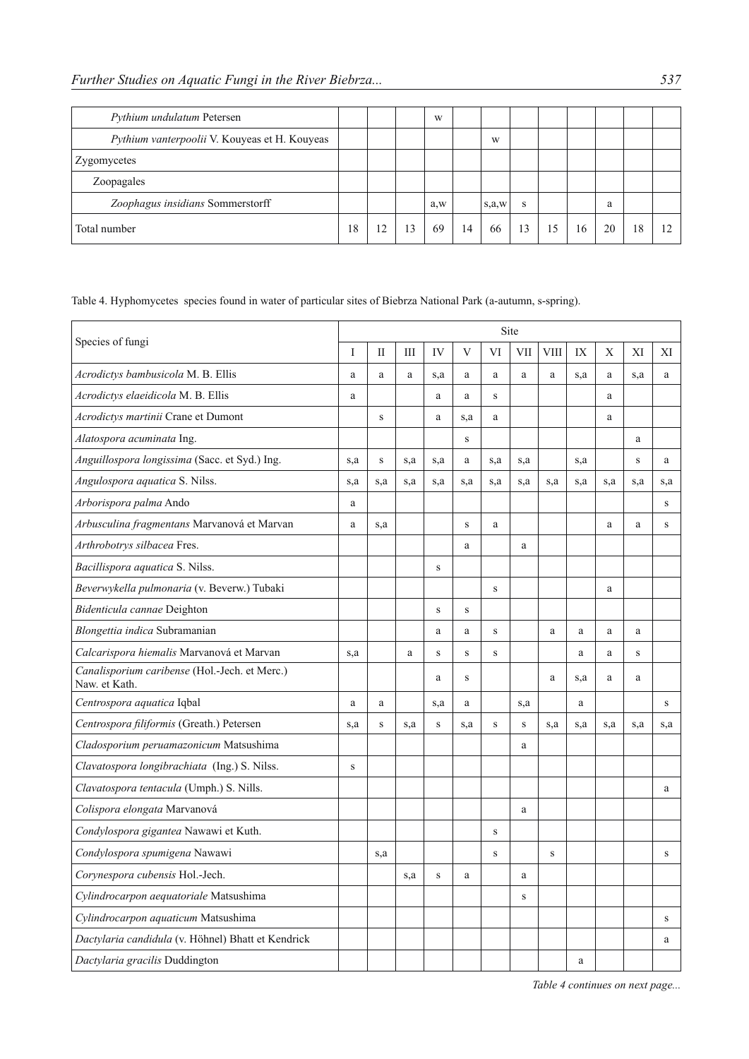| Pythium undulatum Petersen                    |    |    |    | W    |    |         |    |    |    |    |    |  |
|-----------------------------------------------|----|----|----|------|----|---------|----|----|----|----|----|--|
| Pythium vanterpoolii V. Kouyeas et H. Kouyeas |    |    |    |      |    | W       |    |    |    |    |    |  |
| Zygomycetes                                   |    |    |    |      |    |         |    |    |    |    |    |  |
| Zoopagales                                    |    |    |    |      |    |         |    |    |    |    |    |  |
| Zoophagus insidians Sommerstorff              |    |    |    | a, w |    | s, a, w | S  |    |    | a  |    |  |
| Total number                                  | 18 | 12 | 13 | 69   | 14 | 66      | 13 | 15 | 16 | 20 | 18 |  |

Table 4. Hyphomycetes species found in water of particular sites of Biebrza National Park (a-autumn, s-spring).

| Species of fungi                                               | Site |              |     |             |             |         |     |              |     |     |     |              |  |
|----------------------------------------------------------------|------|--------------|-----|-------------|-------------|---------|-----|--------------|-----|-----|-----|--------------|--|
|                                                                | I    | $\mathbf{I}$ | Ш   | IV          | V           | VI      | VII | VIII         | IX  | X   | XI  | XI           |  |
| Acrodictys bambusicola M. B. Ellis                             | a    | a            | a   | s,a         | a           | a       | a   | a            | s,a | a   | s,a | a            |  |
| Acrodictys elaeidicola M. B. Ellis                             | a    |              |     | a           | a           | $\rm S$ |     |              |     | a   |     |              |  |
| Acrodictys martinii Crane et Dumont                            |      | $\,$ S       |     | a           | s,a         | a       |     |              |     | a   |     |              |  |
| Alatospora acuminata Ing.                                      |      |              |     |             | S           |         |     |              |     |     | a   |              |  |
| Anguillospora longissima (Sacc. et Syd.) Ing.                  | s,a  | $\,$ S       | s,a | s,a         | a           | s,a     | s,a |              | s,a |     | S   | a            |  |
| Angulospora aquatica S. Nilss.                                 | s,a  | s,a          | s,a | s,a         | s,a         | s,a     | s,a | s,a          | s,a | s,a | s,a | s,a          |  |
| Arborispora palma Ando                                         | a    |              |     |             |             |         |     |              |     |     |     | S            |  |
| Arbusculina fragmentans Marvanová et Marvan                    | a    | s,a          |     |             | $\mathbf S$ | a       |     |              |     | a   | a   | $\,$ S       |  |
| Arthrobotrys silbacea Fres.                                    |      |              |     |             | a           |         | a   |              |     |     |     |              |  |
| Bacillispora aquatica S. Nilss.                                |      |              |     | $\mathbf S$ |             |         |     |              |     |     |     |              |  |
| Beverwykella pulmonaria (v. Beverw.) Tubaki                    |      |              |     |             |             | S       |     |              |     | a   |     |              |  |
| Bidenticula cannae Deighton                                    |      |              |     | $\,$ S      | $\mathbf S$ |         |     |              |     |     |     |              |  |
| Blongettia indica Subramanian                                  |      |              |     | a           | a           | S       |     | $\mathbf{a}$ | a   | a   | a   |              |  |
| Calcarispora hiemalis Marvanová et Marvan                      | s,a  |              | a   | $\bf S$     | $\,$ S      | $\,$ S  |     |              | a   | a   | S   |              |  |
| Canalisporium caribense (Hol.-Jech. et Merc.)<br>Naw. et Kath. |      |              |     | a           | $\,$ S      |         |     | $\mathbf{a}$ | s.a | a   | a   |              |  |
| Centrospora aquatica Iqbal                                     | a    | a            |     | s,a         | a           |         | s,a |              | a   |     |     | $\mathbf S$  |  |
| Centrospora filiformis (Greath.) Petersen                      | s,a  | S            | s,a | S           | s,a         | S       | S   | s,a          | s,a | s,a | s,a | s,a          |  |
| Cladosporium peruamazonicum Matsushima                         |      |              |     |             |             |         | a   |              |     |     |     |              |  |
| Clavatospora longibrachiata (Ing.) S. Nilss.                   | S    |              |     |             |             |         |     |              |     |     |     |              |  |
| Clavatospora tentacula (Umph.) S. Nills.                       |      |              |     |             |             |         |     |              |     |     |     | a            |  |
| Colispora elongata Marvanová                                   |      |              |     |             |             |         | a   |              |     |     |     |              |  |
| Condylospora gigantea Nawawi et Kuth.                          |      |              |     |             |             | S       |     |              |     |     |     |              |  |
| Condylospora spumigena Nawawi                                  |      | s,a          |     |             |             | S       |     | S            |     |     |     | $\, {\bf S}$ |  |
| Corynespora cubensis Hol.-Jech.                                |      |              | s,a | $\,$ S      | a           |         | a   |              |     |     |     |              |  |
| Cylindrocarpon aequatoriale Matsushima                         |      |              |     |             |             |         | S   |              |     |     |     |              |  |
| Cylindrocarpon aquaticum Matsushima                            |      |              |     |             |             |         |     |              |     |     |     | $\,$ S       |  |
| Dactylaria candidula (v. Höhnel) Bhatt et Kendrick             |      |              |     |             |             |         |     |              |     |     |     | a            |  |
| Dactylaria gracilis Duddington                                 |      |              |     |             |             |         |     |              | a   |     |     |              |  |

*Table 4 continues on next page...*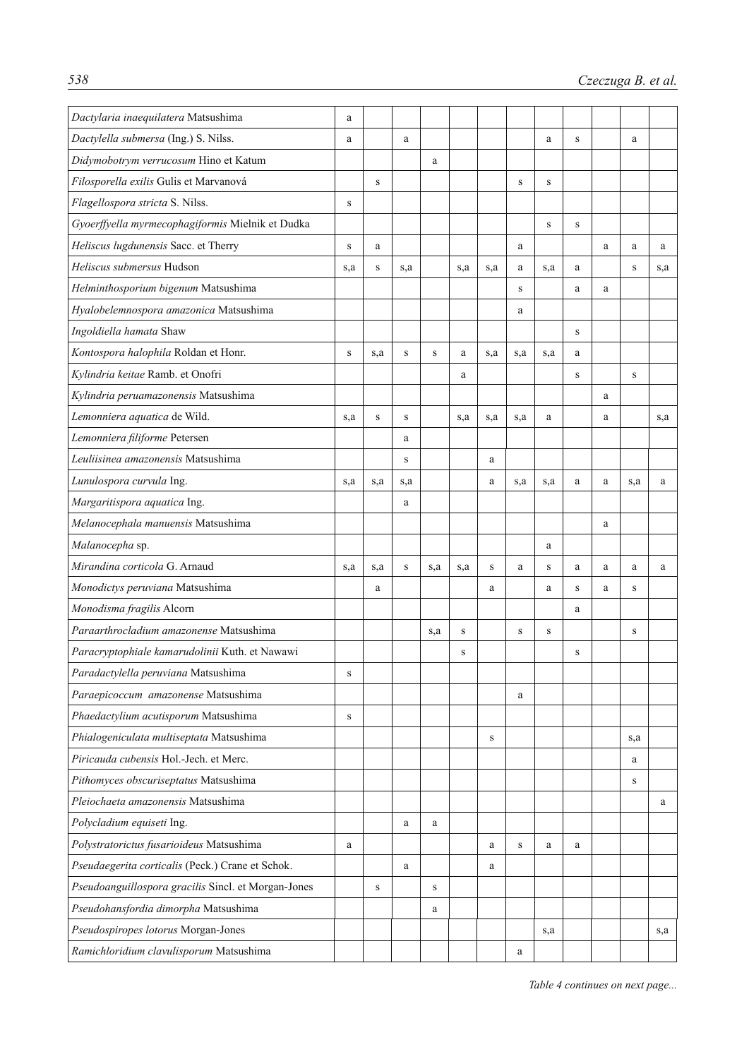| Dactylaria inaequilatera Matsushima                 | a         |        |             |           |     |           |             |           |   |   |        |     |
|-----------------------------------------------------|-----------|--------|-------------|-----------|-----|-----------|-------------|-----------|---|---|--------|-----|
| Dactylella submersa (Ing.) S. Nilss.                | a         |        | a           |           |     |           |             | a         | S |   | a      |     |
| Didymobotrym verrucosum Hino et Katum               |           |        |             | a         |     |           |             |           |   |   |        |     |
| Filosporella exilis Gulis et Marvanová              |           | S      |             |           |     |           | $\mathbf S$ | ${\bf S}$ |   |   |        |     |
| Flagellospora stricta S. Nilss.                     | S         |        |             |           |     |           |             |           |   |   |        |     |
| Gyoerffyella myrmecophagiformis Mielnik et Dudka    |           |        |             |           |     |           |             | ${\bf S}$ | S |   |        |     |
| Heliscus lugdunensis Sacc. et Therry                | S         | a      |             |           |     |           | a           |           |   | a | a      | a   |
| Heliscus submersus Hudson                           | s,a       | S      | s,a         |           | s,a | s,a       | a           | s,a       | a |   | S      | s,a |
| Helminthosporium bigenum Matsushima                 |           |        |             |           |     |           | S           |           | a | a |        |     |
| Hyalobelemnospora amazonica Matsushima              |           |        |             |           |     |           | a           |           |   |   |        |     |
| Ingoldiella hamata Shaw                             |           |        |             |           |     |           |             |           | S |   |        |     |
| Kontospora halophila Roldan et Honr.                | S         | s,a    | S           | ${\bf S}$ | a   | s,a       | s,a         | s,a       | a |   |        |     |
| Kylindria keitae Ramb. et Onofri                    |           |        |             |           | a   |           |             |           | S |   | S      |     |
| Kylindria peruamazonensis Matsushima                |           |        |             |           |     |           |             |           |   | a |        |     |
| Lemonniera aquatica de Wild.                        | s,a       | $\,$ S | $\mathbf S$ |           | s,a | s,a       | s,a         | a         |   | a |        | s,a |
| Lemonniera filiforme Petersen                       |           |        | a           |           |     |           |             |           |   |   |        |     |
| Leuliisinea amazonensis Matsushima                  |           |        | S           |           |     | a         |             |           |   |   |        |     |
| Lunulospora curvula Ing.                            | s,a       | s,a    | s,a         |           |     | a         | s,a         | s,a       | a | a | s,a    | a   |
| Margaritispora aquatica Ing.                        |           |        | a           |           |     |           |             |           |   |   |        |     |
| Melanocephala manuensis Matsushima                  |           |        |             |           |     |           |             |           |   | a |        |     |
| Malanocepha sp.                                     |           |        |             |           |     |           |             | a         |   |   |        |     |
| Mirandina corticola G. Arnaud                       | s,a       | s,a    | S           | s,a       | s,a | ${\bf S}$ | a           | S         | a | a | a      | a   |
| Monodictys peruviana Matsushima                     |           | a      |             |           |     | a         |             | a         | S | a | $\,$ S |     |
| Monodisma fragilis Alcorn                           |           |        |             |           |     |           |             |           | a |   |        |     |
| Paraarthrocladium amazonense Matsushima             |           |        |             | s,a       | S   |           | S           | S         |   |   | S      |     |
| Paracryptophiale kamarudolinii Kuth. et Nawawi      |           |        |             |           | S   |           |             |           | S |   |        |     |
| Paradactylella peruviana Matsushima                 | S         |        |             |           |     |           |             |           |   |   |        |     |
| Paraepicoccum amazonense Matsushima                 |           |        |             |           |     |           | a           |           |   |   |        |     |
| Phaedactylium acutisporum Matsushima                | ${\bf S}$ |        |             |           |     |           |             |           |   |   |        |     |
| Phialogeniculata multiseptata Matsushima            |           |        |             |           |     | S         |             |           |   |   | s,a    |     |
| Piricauda cubensis Hol.-Jech. et Merc.              |           |        |             |           |     |           |             |           |   |   | a      |     |
| Pithomyces obscuriseptatus Matsushima               |           |        |             |           |     |           |             |           |   |   | S      |     |
| Pleiochaeta amazonensis Matsushima                  |           |        |             |           |     |           |             |           |   |   |        | a   |
| Polycladium equiseti Ing.                           |           |        | a           | a         |     |           |             |           |   |   |        |     |
| Polystratorictus fusarioideus Matsushima            | a         |        |             |           |     | a         | $\,$ S      | a         | a |   |        |     |
| Pseudaegerita corticalis (Peck.) Crane et Schok.    |           |        | a           |           |     | a         |             |           |   |   |        |     |
| Pseudoanguillospora gracilis Sincl. et Morgan-Jones |           | S      |             | S         |     |           |             |           |   |   |        |     |
| Pseudohansfordia dimorpha Matsushima                |           |        |             | a         |     |           |             |           |   |   |        |     |
| Pseudospiropes lotorus Morgan-Jones                 |           |        |             |           |     |           |             | s,a       |   |   |        | s,a |
| Ramichloridium clavulisporum Matsushima             |           |        |             |           |     |           | a           |           |   |   |        |     |

*Table 4 continues on next page...*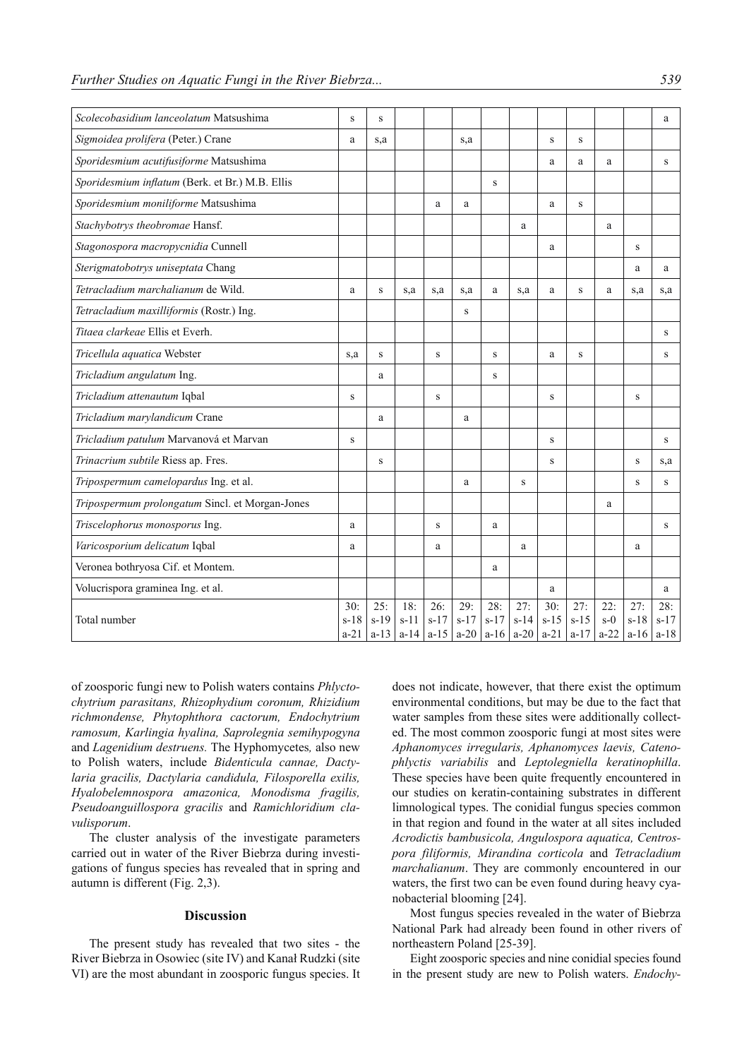| Scolecobasidium lanceolatum Matsushima          | S                       | $\,$ S                  |                         |                           |                           |                         |                         |                         |                         |                        |                         | a                       |
|-------------------------------------------------|-------------------------|-------------------------|-------------------------|---------------------------|---------------------------|-------------------------|-------------------------|-------------------------|-------------------------|------------------------|-------------------------|-------------------------|
| Sigmoidea prolifera (Peter.) Crane              | a                       | s,a                     |                         |                           | s,a                       |                         |                         | $\,$ S                  | $\,$ S                  |                        |                         |                         |
| Sporidesmium acutifusiforme Matsushima          |                         |                         |                         |                           |                           |                         |                         | a                       | a                       | a                      |                         | S                       |
| Sporidesmium inflatum (Berk. et Br.) M.B. Ellis |                         |                         |                         |                           |                           | S                       |                         |                         |                         |                        |                         |                         |
| Sporidesmium moniliforme Matsushima             |                         |                         |                         | a                         | a                         |                         |                         | a                       | S                       |                        |                         |                         |
| Stachybotrys theobromae Hansf.                  |                         |                         |                         |                           |                           |                         | a                       |                         |                         | a                      |                         |                         |
| Stagonospora macropycnidia Cunnell              |                         |                         |                         |                           |                           |                         |                         | a                       |                         |                        | $\,$ S                  |                         |
| Sterigmatobotrys uniseptata Chang               |                         |                         |                         |                           |                           |                         |                         |                         |                         |                        | a                       | a                       |
| Tetracladium marchalianum de Wild.              | a                       | S                       | s,a                     | s,a                       | s,a                       | a                       | s.a                     | a                       | S                       | a                      | s,a                     | s.a                     |
| Tetracladium maxilliformis (Rostr.) Ing.        |                         |                         |                         |                           | S                         |                         |                         |                         |                         |                        |                         |                         |
| Titaea clarkeae Ellis et Everh.                 |                         |                         |                         |                           |                           |                         |                         |                         |                         |                        |                         | S                       |
| Tricellula aquatica Webster                     | s,a                     | S                       |                         | $\,$ S                    |                           | S                       |                         | a                       | S                       |                        |                         | S                       |
| Tricladium angulatum Ing.                       |                         | a                       |                         |                           |                           | $\mathbf S$             |                         |                         |                         |                        |                         |                         |
| Tricladium attenautum Iqbal                     | S                       |                         |                         | S                         |                           |                         |                         | S                       |                         |                        | S                       |                         |
| Tricladium marylandicum Crane                   |                         | a                       |                         |                           | a                         |                         |                         |                         |                         |                        |                         |                         |
| Tricladium patulum Marvanová et Marvan          | S                       |                         |                         |                           |                           |                         |                         | S                       |                         |                        |                         | S                       |
| Trinacrium subtile Riess ap. Fres.              |                         | $\,$ S                  |                         |                           |                           |                         |                         | S                       |                         |                        | S                       | s,a                     |
| Tripospermum camelopardus Ing. et al.           |                         |                         |                         |                           | a                         |                         | $\,$ S                  |                         |                         |                        | S                       | S                       |
| Tripospermum prolongatum Sincl. et Morgan-Jones |                         |                         |                         |                           |                           |                         |                         |                         |                         | a                      |                         |                         |
| Triscelophorus monosporus Ing.                  | a                       |                         |                         | S                         |                           | a                       |                         |                         |                         |                        |                         | S                       |
| Varicosporium delicatum Iqbal                   | a                       |                         |                         | a                         |                           |                         | a                       |                         |                         |                        | a                       |                         |
| Veronea bothryosa Cif. et Montem.               |                         |                         |                         |                           |                           | a                       |                         |                         |                         |                        |                         |                         |
| Volucrispora graminea Ing. et al.               |                         |                         |                         |                           |                           |                         |                         | a                       |                         |                        |                         | a                       |
| Total number                                    | 30:<br>$s-18$<br>$a-21$ | 25:<br>$s-19$<br>$a-13$ | 18:<br>$s-11$<br>$a-14$ | 26:<br>$s - 17$<br>$a-15$ | 29:<br>$s - 17$<br>$a-20$ | 28:<br>$s-17$<br>$a-16$ | 27:<br>$s-14$<br>$a-20$ | 30:<br>$s-15$<br>$a-21$ | 27:<br>$s-15$<br>$a-17$ | 22:<br>$s-0$<br>$a-22$ | 27:<br>$s-18$<br>$a-16$ | 28:<br>$s-17$<br>$a-18$ |

of zoosporic fungi new to Polish waters contains *Phlyctochytrium parasitans, Rhizophydium coronum, Rhizidium richmondense, Phytophthora cactorum, Endochytrium ramosum, Karlingia hyalina, Saprolegnia semihypogyna*  and *Lagenidium destruens.* The Hyphomycetes*,* also new to Polish waters, include *Bidenticula cannae, Dactylaria gracilis, Dactylaria candidula, Filosporella exilis, Hyalobelemnospora amazonica, Monodisma fragilis, Pseudoanguillospora gracilis* and *Ramichloridium clavulisporum*.

The cluster analysis of the investigate parameters carried out in water of the River Biebrza during investigations of fungus species has revealed that in spring and autumn is different (Fig. 2,3).

### **Discussion**

The present study has revealed that two sites - the River Biebrza in Osowiec (site IV) and Kanał Rudzki (site VI) are the most abundant in zoosporic fungus species. It does not indicate, however, that there exist the optimum environmental conditions, but may be due to the fact that water samples from these sites were additionally collected. The most common zoosporic fungi at most sites were *Aphanomyces irregularis, Aphanomyces laevis, Catenophlyctis variabilis* and *Leptolegniella keratinophilla*. These species have been quite frequently encountered in our studies on keratin-containing substrates in different limnological types. The conidial fungus species common in that region and found in the water at all sites included *Acrodictis bambusicola, Angulospora aquatica, Centrospora filiformis, Mirandina corticola* and *Tetracladium marchalianum*. They are commonly encountered in our waters, the first two can be even found during heavy cyanobacterial blooming [24].

Most fungus species revealed in the water of Biebrza National Park had already been found in other rivers of northeastern Poland [25-39].

Eight zoosporic species and nine conidial species found in the present study are new to Polish waters. *Endochy-*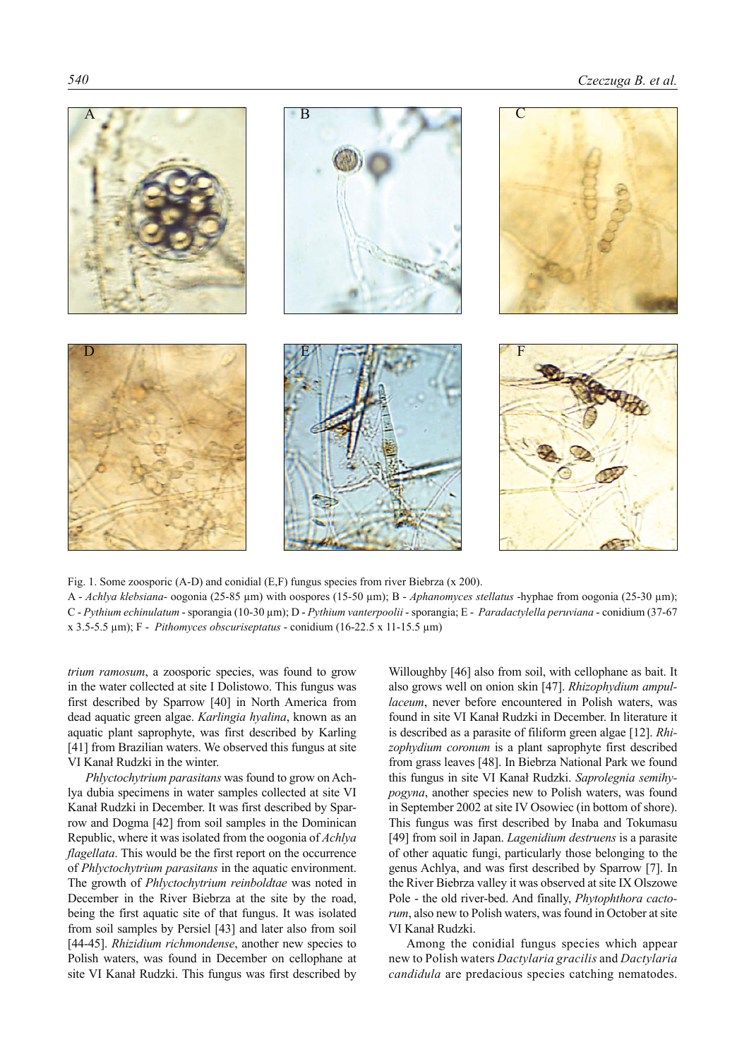

Fig. 1. Some zoosporic (A-D) and conidial (E,F) fungus species from river Biebrza (x 200). A - *Achlya klebsiana*- oogonia (25-85 µm) with oospores (15-50 µm); B - *Aphanomyces stellatus* -hyphae from oogonia (25-30 µm); C - *Pythium echinulatum* - sporangia (10-30 µm); D - *Pythium vanterpoolii* - sporangia; E - *Paradactylella peruviana* - conidium (37-67 x 3.5-5.5 µm); F - *Pithomyces obscuriseptatus* - conidium (16-22.5 x 11-15.5 µm)

*trium ramosum*, a zoosporic species, was found to grow in the water collected at site I Dolistowo. This fungus was first described by Sparrow [40] in North America from dead aquatic green algae. *Karlingia hyalina*, known as an aquatic plant saprophyte, was first described by Karling [41] from Brazilian waters. We observed this fungus at site VI Kanał Rudzki in the winter.

*Phlyctochytrium parasitans* was found to grow on Achlya dubia specimens in water samples collected at site VI Kanał Rudzki in December. It was first described by Sparrow and Dogma [42] from soil samples in the Dominican Republic, where it was isolated from the oogonia of *Achlya flagellata*. This would be the first report on the occurrence of *Phlyctochytrium parasitans* in the aquatic environment. The growth of *Phlyctochytrium reinboldtae* was noted in December in the River Biebrza at the site by the road, being the first aquatic site of that fungus. It was isolated from soil samples by Persiel [43] and later also from soil [44-45]. *Rhizidium richmondense*, another new species to Polish waters, was found in December on cellophane at site VI Kanał Rudzki. This fungus was first described by

Willoughby [46] also from soil, with cellophane as bait. It also grows well on onion skin [47]. *Rhizophydium ampullaceum*, never before encountered in Polish waters, was found in site VI Kanał Rudzki in December. In literature it is described as a parasite of filiform green algae [12]. *Rhizophydium coronum* is a plant saprophyte first described from grass leaves [48]. In Biebrza National Park we found this fungus in site VI Kanał Rudzki. *Saprolegnia semihypogyna*, another species new to Polish waters, was found in September 2002 at site IV Osowiec (in bottom of shore). This fungus was first described by Inaba and Tokumasu [49] from soil in Japan. *Lagenidium destruens* is a parasite of other aquatic fungi, particularly those belonging to the genus Achlya, and was first described by Sparrow [7]. In the River Biebrza valley it was observed at site IX Olszowe Pole - the old river-bed. And finally, *Phytophthora cactorum*, also new to Polish waters, was found in October at site VI Kanał Rudzki.

Among the conidial fungus species which appear new to Polish waters *Dactylaria gracilis* and *Dactylaria candidula* are predacious species catching nematodes.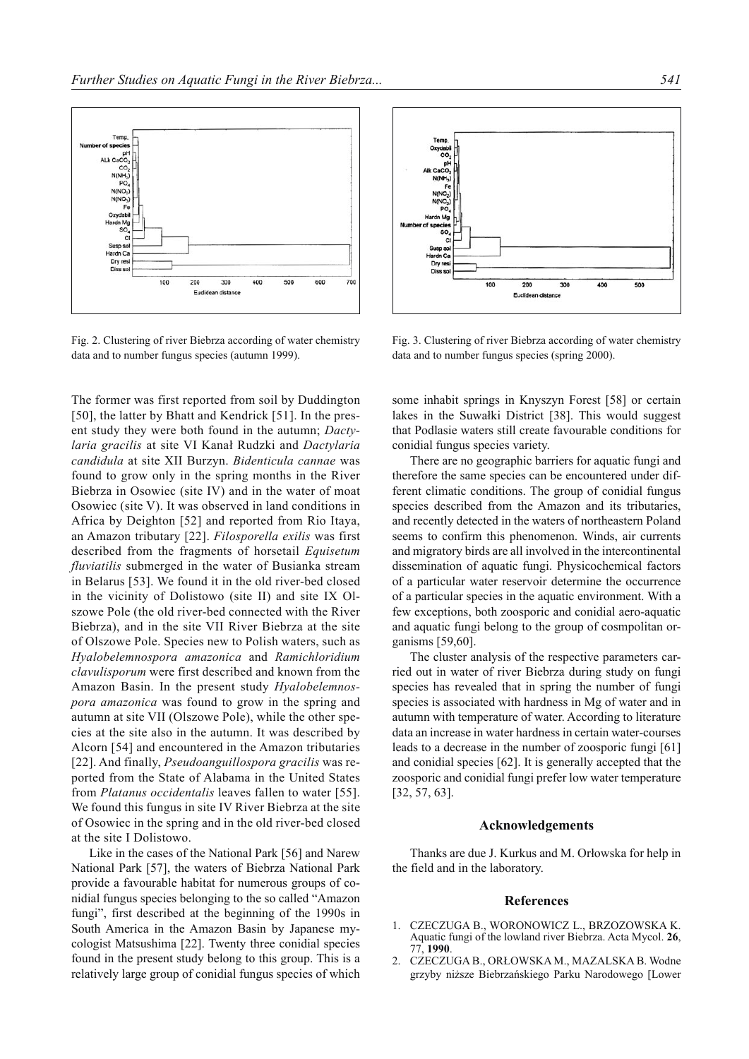

Fig. 2. Clustering of river Biebrza according of water chemistry data and to number fungus species (autumn 1999).

The former was first reported from soil by Duddington [50], the latter by Bhatt and Kendrick [51]. In the present study they were both found in the autumn; *Dactylaria gracilis* at site VI Kanał Rudzki and *Dactylaria candidula* at site XII Burzyn. *Bidenticula cannae* was found to grow only in the spring months in the River Biebrza in Osowiec (site IV) and in the water of moat Osowiec (site V). It was observed in land conditions in Africa by Deighton [52] and reported from Rio Itaya, an Amazon tributary [22]. *Filosporella exilis* was first described from the fragments of horsetail *Equisetum fluviatilis* submerged in the water of Busianka stream in Belarus [53]. We found it in the old river-bed closed in the vicinity of Dolistowo (site II) and site IX Olszowe Pole (the old river-bed connected with the River Biebrza), and in the site VII River Biebrza at the site of Olszowe Pole. Species new to Polish waters, such as *Hyalobelemnospora amazonica* and *Ramichloridium clavulisporum* were first described and known from the Amazon Basin. In the present study *Hyalobelemnospora amazonica* was found to grow in the spring and autumn at site VII (Olszowe Pole), while the other species at the site also in the autumn. It was described by Alcorn [54] and encountered in the Amazon tributaries [22]. And finally, *Pseudoanguillospora gracilis* was reported from the State of Alabama in the United States from *Platanus occidentalis* leaves fallen to water [55]. We found this fungus in site IV River Biebrza at the site of Osowiec in the spring and in the old river-bed closed at the site I Dolistowo.

Like in the cases of the National Park [56] and Narew National Park [57], the waters of Biebrza National Park provide a favourable habitat for numerous groups of conidial fungus species belonging to the so called "Amazon fungi", first described at the beginning of the 1990s in South America in the Amazon Basin by Japanese mycologist Matsushima [22]. Twenty three conidial species found in the present study belong to this group. This is a relatively large group of conidial fungus species of which



Fig. 3. Clustering of river Biebrza according of water chemistry data and to number fungus species (spring 2000).

some inhabit springs in Knyszyn Forest [58] or certain lakes in the Suwałki District [38]. This would suggest that Podlasie waters still create favourable conditions for conidial fungus species variety.

There are no geographic barriers for aquatic fungi and therefore the same species can be encountered under different climatic conditions. The group of conidial fungus species described from the Amazon and its tributaries, and recently detected in the waters of northeastern Poland seems to confirm this phenomenon. Winds, air currents and migratory birds are all involved in the intercontinental dissemination of aquatic fungi. Physicochemical factors of a particular water reservoir determine the occurrence of a particular species in the aquatic environment. With a few exceptions, both zoosporic and conidial aero-aquatic and aquatic fungi belong to the group of cosmpolitan organisms [59,60].

The cluster analysis of the respective parameters carried out in water of river Biebrza during study on fungi species has revealed that in spring the number of fungi species is associated with hardness in Mg of water and in autumn with temperature of water. According to literature data an increase in water hardness in certain water-courses leads to a decrease in the number of zoosporic fungi [61] and conidial species [62]. It is generally accepted that the zoosporic and conidial fungi prefer low water temperature [32, 57, 63].

#### **Acknowledgements**

Thanks are due J. Kurkus and M. Orłowska for help in the field and in the laboratory.

#### **References**

- 1. CZECZUGA B., WORONOWICZ L., BRZOZOWSKA K. Aquatic fungi of the lowland river Biebrza. Acta Mycol. **26**, 77, **1990**.
- 2. CZECZUGA B., ORŁOWSKA M., MAZALSKA B. Wodne grzyby niższe Biebrzańskiego Parku Narodowego [Lower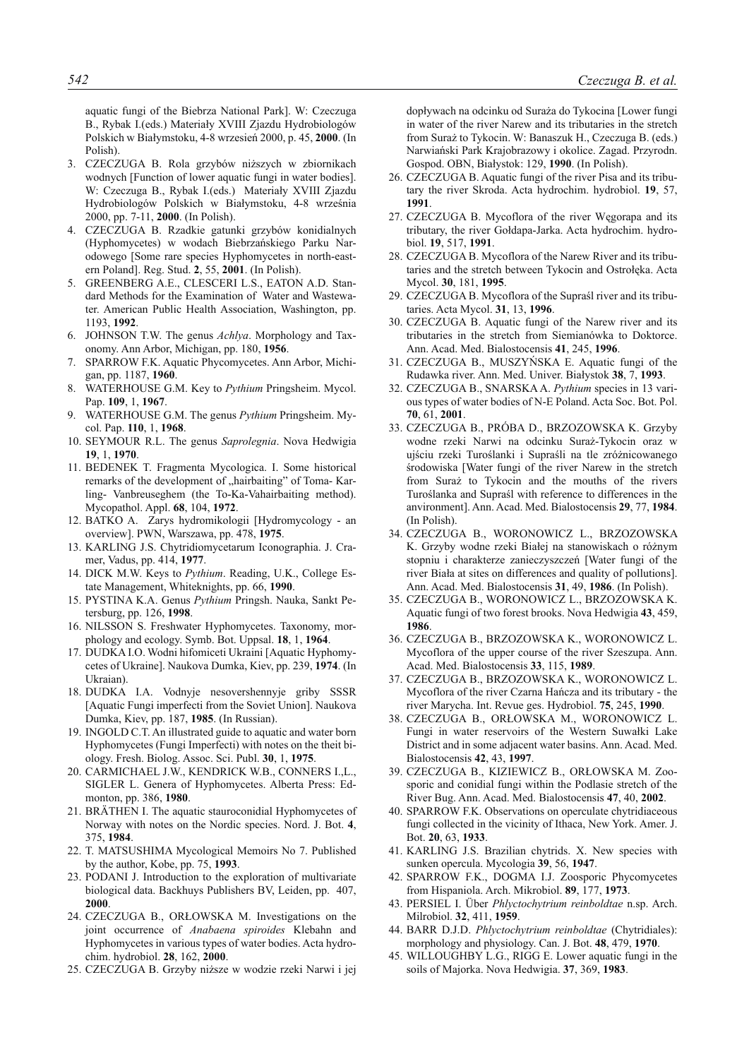aquatic fungi of the Biebrza National Park]. W: Czeczuga B., Rybak I.(eds.) Materiały XVIII Zjazdu Hydrobiologów Polskich w Białymstoku, 4-8 wrzesień 2000, p. 45, **2000**. (In Polish).

- 3. CZECZUGA B. Rola grzybów niższych w zbiornikach wodnych [Function of lower aquatic fungi in water bodies]. W: Czeczuga B., Rybak I.(eds.) Materiały XVIII Zjazdu Hydrobiologów Polskich w Białymstoku, 4-8 września 2000, pp. 7-11, **2000**. (In Polish).
- 4. CZECZUGA B. Rzadkie gatunki grzybów konidialnych (Hyphomycetes) w wodach Biebrzańskiego Parku Narodowego [Some rare species Hyphomycetes in north-eastern Poland]. Reg. Stud. **2**, 55, **2001**. (In Polish).
- 5. GREENBERG A.E., CLESCERI L.S., EATON A.D. Standard Methods for the Examination of Water and Wastewater. American Public Health Association, Washington, pp. 1193, **1992**.
- 6. JOHNSON T.W. The genus *Achlya*. Morphology and Taxonomy. Ann Arbor, Michigan, pp. 180, **1956**.
- 7. SPARROW F.K. Aquatic Phycomycetes. Ann Arbor, Michigan, pp. 1187, **1960**.
- 8. WATERHOUSE G.M. Key to *Pythium* Pringsheim. Mycol. Pap. **109**, 1, **1967**.
- 9. WATERHOUSE G.M. The genus *Pythium* Pringsheim. Mycol. Pap. **110**, 1, **1968**.
- 10. SEYMOUR R.L. The genus *Saprolegnia*. Nova Hedwigia **19**, 1, **1970**.
- 11. BEDENEK T. Fragmenta Mycologica. I. Some historical remarks of the development of "hairbaiting" of Toma- Karling- Vanbreuseghem (the To-Ka-Vahairbaiting method). Mycopathol. Appl. **68**, 104, **1972**.
- 12. BATKO A. Zarys hydromikologii [Hydromycology an overview]. PWN, Warszawa, pp. 478, **1975**.
- 13. KARLING J.S. Chytridiomycetarum Iconographia. J. Cramer, Vadus, pp. 414, **1977**.
- 14. DICK M.W. Keys to *Pythium*. Reading, U.K., College Estate Management, Whiteknights, pp. 66, **1990**.
- 15. PYSTINA K.A. Genus *Pythium* Pringsh. Nauka, Sankt Petersburg, pp. 126, **1998**.
- 16. NILSSON S. Freshwater Hyphomycetes. Taxonomy, morphology and ecology. Symb. Bot. Uppsal. **18**, 1, **1964**.
- 17. DUDKA I.O. Wodni hifomiceti Ukraini [Aquatic Hyphomycetes of Ukraine]. Naukova Dumka, Kiev, pp. 239, **1974**. (In Ukraian).
- 18. DUDKA I.A. Vodnyje nesovershennyje griby SSSR [Aquatic Fungi imperfecti from the Soviet Union]. Naukova Dumka, Kiev, pp. 187, **1985**. (In Russian).
- 19. INGOLD C.T. An illustrated guide to aquatic and water born Hyphomycetes (Fungi Imperfecti) with notes on the theit biology. Fresh. Biolog. Assoc. Sci. Publ. **30**, 1, **1975**.
- 20. CARMICHAEL J.W., KENDRICK W.B., CONNERS I.,L., SIGLER L. Genera of Hyphomycetes. Alberta Press: Edmonton, pp. 386, **1980**.
- 21. BRÄTHEN I. The aquatic stauroconidial Hyphomycetes of Norway with notes on the Nordic species. Nord. J. Bot. **4**, 375, **1984**.
- 22. T. MATSUSHIMA Mycological Memoirs No 7. Published by the author, Kobe, pp. 75, **1993**.
- 23. PODANI J. Introduction to the exploration of multivariate biological data. Backhuys Publishers BV, Leiden, pp. 407, **2000**.
- 24. CZECZUGA B., ORŁOWSKA M. Investigations on the joint occurrence of *Anabaena spiroides* Klebahn and Hyphomycetes in various types of water bodies. Acta hydrochim. hydrobiol. **28**, 162, **2000**.
- 25. CZECZUGA B. Grzyby niższe w wodzie rzeki Narwi i jej

dopływach na odcinku od Suraża do Tykocina [Lower fungi in water of the river Narew and its tributaries in the stretch from Suraż to Tykocin. W: Banaszuk H., Czeczuga B. (eds.) Narwiański Park Krajobrazowy i okolice. Zagad. Przyrodn. Gospod. OBN, Białystok: 129, **1990**. (In Polish).

- 26. CZECZUGA B. Aquatic fungi of the river Pisa and its tributary the river Skroda. Acta hydrochim. hydrobiol. **19**, 57, **1991**.
- 27. CZECZUGA B. Mycoflora of the river Węgorapa and its tributary, the river Gołdapa-Jarka. Acta hydrochim. hydrobiol. **19**, 517, **1991**.
- 28. CZECZUGA B. Mycoflora of the Narew River and its tributaries and the stretch between Tykocin and Ostrołęka. Acta Mycol. **30**, 181, **1995**.
- 29. CZECZUGA B. Mycoflora of the Supraśl river and its tributaries. Acta Mycol. **31**, 13, **1996**.
- 30. CZECZUGA B. Aquatic fungi of the Narew river and its tributaries in the stretch from Siemianówka to Doktorce. Ann. Acad. Med. Bialostocensis **41**, 245, **1996**.
- 31. CZECZUGA B., MUSZYŃSKA E. Aquatic fungi of the Rudawka river. Ann. Med. Univer. Białystok **38**, 7, **1993**.
- 32. CZECZUGA B., SNARSKA A. *Pythium* species in 13 various types of water bodies of N-E Poland. Acta Soc. Bot. Pol. **70**, 61, **2001**.
- 33. CZECZUGA B., PRÓBA D., BRZOZOWSKA K. Grzyby wodne rzeki Narwi na odcinku Suraż-Tykocin oraz w ujściu rzeki Turoślanki i Supraśli na tle zróżnicowanego środowiska [Water fungi of the river Narew in the stretch from Suraż to Tykocin and the mouths of the rivers Turoślanka and Supraśl with reference to differences in the anvironment]. Ann. Acad. Med. Bialostocensis **29**, 77, **1984**. (In Polish).
- 34. CZECZUGA B., WORONOWICZ L., BRZOZOWSKA K. Grzyby wodne rzeki Białej na stanowiskach o różnym stopniu i charakterze zanieczyszczeń [Water fungi of the river Biała at sites on differences and quality of pollutions]. Ann. Acad. Med. Bialostocensis **31**, 49, **1986**. (In Polish).
- 35. CZECZUGA B., WORONOWICZ L., BRZOZOWSKA K. Aquatic fungi of two forest brooks. Nova Hedwigia **43**, 459, **1986**.
- 36. CZECZUGA B., BRZOZOWSKA K., WORONOWICZ L. Mycoflora of the upper course of the river Szeszupa. Ann. Acad. Med. Bialostocensis **33**, 115, **1989**.
- 37. CZECZUGA B., BRZOZOWSKA K., WORONOWICZ L. Mycoflora of the river Czarna Hańcza and its tributary - the river Marycha. Int. Revue ges. Hydrobiol. **75**, 245, **1990**.
- 38. CZECZUGA B., ORŁOWSKA M., WORONOWICZ L. Fungi in water reservoirs of the Western Suwałki Lake District and in some adjacent water basins. Ann. Acad. Med. Bialostocensis **42**, 43, **1997**.
- 39. CZECZUGA B., KIZIEWICZ B., ORŁOWSKA M. Zoosporic and conidial fungi within the Podlasie stretch of the River Bug. Ann. Acad. Med. Bialostocensis **47**, 40, **2002**.
- 40. SPARROW F.K. Observations on operculate chytridiaceous fungi collected in the vicinity of Ithaca, New York. Amer. J. Bot. **20**, 63, **1933**.
- 41. KARLING J.S. Brazilian chytrids. X. New species with sunken opercula. Mycologia **39**, 56, **1947**.
- 42. SPARROW F.K., DOGMA I.J. Zoosporic Phycomycetes from Hispaniola. Arch. Mikrobiol. **89**, 177, **1973**.
- 43. PERSIEL I. Über *Phlyctochytrium reinboldtae* n.sp. Arch. Milrobiol. **32**, 411, **1959**.
- 44. BARR D.J.D. *Phlyctochytrium reinboldtae* (Chytridiales): morphology and physiology. Can. J. Bot. **48**, 479, **1970**.
- 45. WILLOUGHBY L.G., RIGG E. Lower aquatic fungi in the soils of Majorka. Nova Hedwigia. **37**, 369, **1983**.